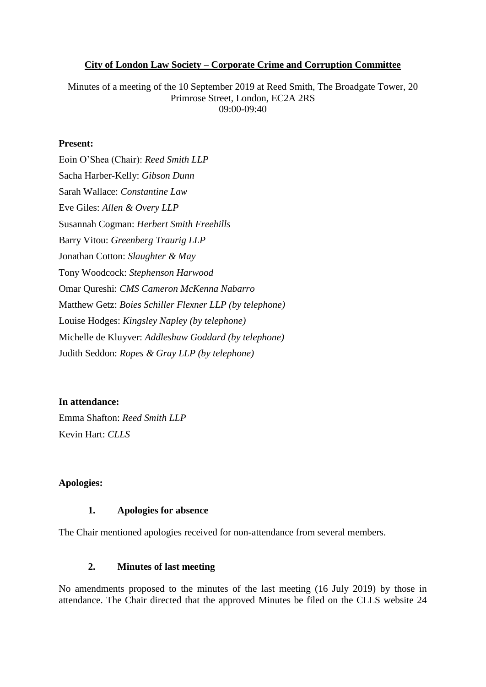### **City of London Law Society – Corporate Crime and Corruption Committee**

Minutes of a meeting of the 10 September 2019 at Reed Smith, The Broadgate Tower, 20 Primrose Street, London, EC2A 2RS 09:00-09:40

#### **Present:**

Eoin O'Shea (Chair): *Reed Smith LLP* Sacha Harber-Kelly: *Gibson Dunn* Sarah Wallace: *Constantine Law* Eve Giles: *Allen & Overy LLP* Susannah Cogman: *Herbert Smith Freehills* Barry Vitou: *Greenberg Traurig LLP* Jonathan Cotton: *Slaughter & May* Tony Woodcock: *Stephenson Harwood* Omar Qureshi: *CMS Cameron McKenna Nabarro* Matthew Getz: *Boies Schiller Flexner LLP (by telephone)* Louise Hodges: *Kingsley Napley (by telephone)* Michelle de Kluyver: *Addleshaw Goddard (by telephone)* Judith Seddon: *Ropes & Gray LLP (by telephone)*

### **In attendance:**

Emma Shafton: *Reed Smith LLP* Kevin Hart: *CLLS*

### **Apologies:**

### **1. Apologies for absence**

The Chair mentioned apologies received for non-attendance from several members.

### **2. Minutes of last meeting**

No amendments proposed to the minutes of the last meeting (16 July 2019) by those in attendance. The Chair directed that the approved Minutes be filed on the CLLS website 24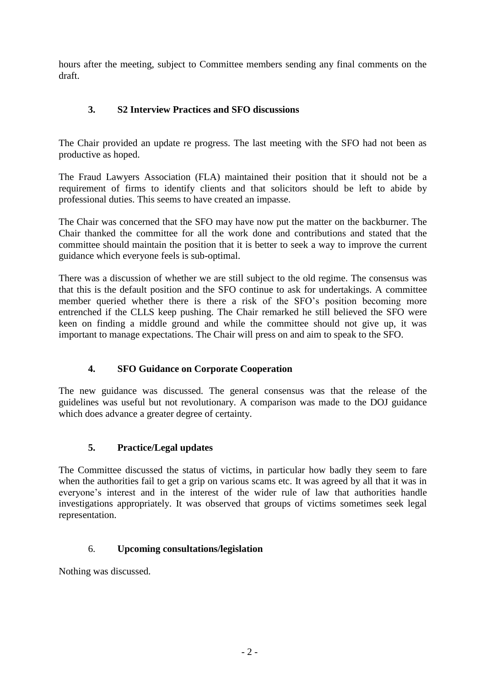hours after the meeting, subject to Committee members sending any final comments on the draft.

# **3. S2 Interview Practices and SFO discussions**

The Chair provided an update re progress. The last meeting with the SFO had not been as productive as hoped.

The Fraud Lawyers Association (FLA) maintained their position that it should not be a requirement of firms to identify clients and that solicitors should be left to abide by professional duties. This seems to have created an impasse.

The Chair was concerned that the SFO may have now put the matter on the backburner. The Chair thanked the committee for all the work done and contributions and stated that the committee should maintain the position that it is better to seek a way to improve the current guidance which everyone feels is sub-optimal.

There was a discussion of whether we are still subject to the old regime. The consensus was that this is the default position and the SFO continue to ask for undertakings. A committee member queried whether there is there a risk of the SFO's position becoming more entrenched if the CLLS keep pushing. The Chair remarked he still believed the SFO were keen on finding a middle ground and while the committee should not give up, it was important to manage expectations. The Chair will press on and aim to speak to the SFO.

## **4. SFO Guidance on Corporate Cooperation**

The new guidance was discussed. The general consensus was that the release of the guidelines was useful but not revolutionary. A comparison was made to the DOJ guidance which does advance a greater degree of certainty.

### **5. Practice/Legal updates**

The Committee discussed the status of victims, in particular how badly they seem to fare when the authorities fail to get a grip on various scams etc. It was agreed by all that it was in everyone's interest and in the interest of the wider rule of law that authorities handle investigations appropriately. It was observed that groups of victims sometimes seek legal representation.

### 6. **Upcoming consultations/legislation**

Nothing was discussed.